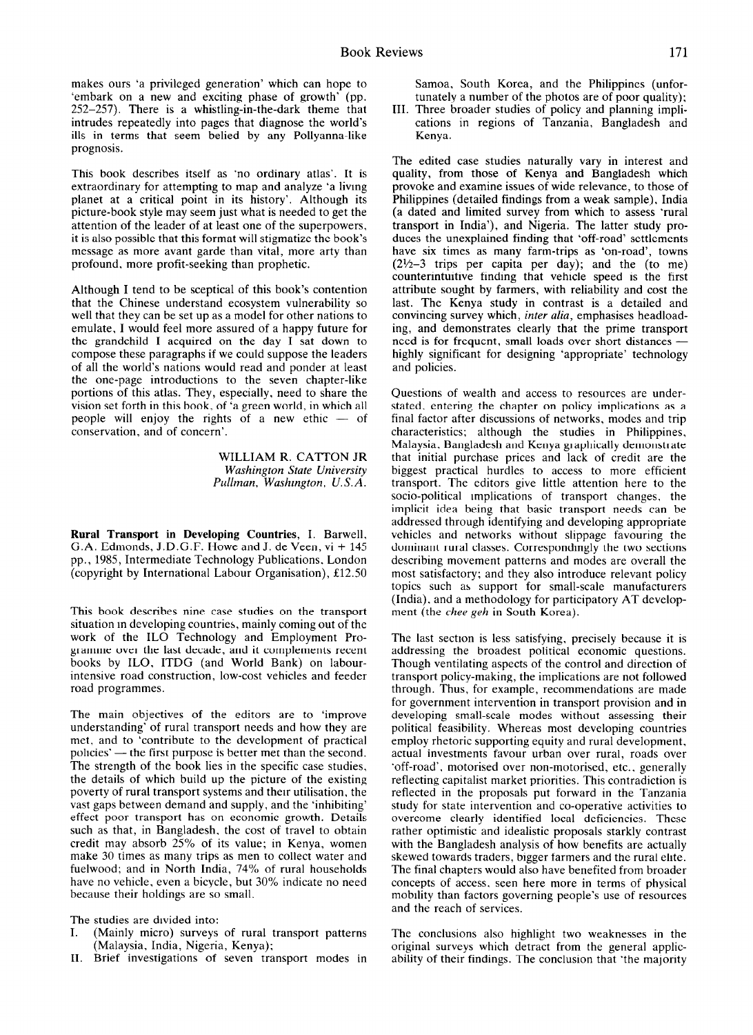makes ours 'a privileged generation' which can hope to 'embark on a new and exciting phase of growth' (pp.  $252-257$ ). There is a whistling-in-the-dark theme that intrudes repeatedly into pages that diagnose the world's ills in terms that seem belied by any Pollyanna-like prognosis.

This book describes itself as 'no ordinary atlas'. It is extraordinary for attempting to map and analyze 'a living planet at a critical point in its history'. Although its picture-book style may seem just what is needed to get the attention of the leader of at least one of the superpowers, it is also possible that this format will stigmatize the book's message as more avant garde than vital, more arty than profound, more profit-seeking than prophetic.

Although I tend to be sceptical of this book's contention that the Chinese understand ecosystem vulnerability so well that they can be set up as a model for other nations to emulate, I would feel more assured of a happy future for the grandchild I acquired on the day I sat down to compose these paragraphs if we could suppose the leaders of all the world's nations would read and ponder at least the one-page introductions to the seven chapter-like portions of this atlas. They, especially, need to share the vision set forth in this book, of 'a green world, in which all people will enjoy the rights of a new ethic  $-$  of conservation, and of concern'.

> WILLIAM R. CATION JR *Washington State University Pullman. Washrngton. U.S.A.*

**Rural Transport in Developing Countries,** I. Barwell, G.A. Edmonds, J.D.G.F. Howe and J. de Veen, vi + 145 pp., 1985, Intermediate Technology Publications. London (copyright by International Labour Organisation), f12.50

This book describes nine case studies on the transport situation m developing countries, mainly coming out of the work of the IL0 Technology and Employment Programme over the last decade, and it complements recent books by ILO, ITDG (and World Bank) on labourintensive road construction, low-cost vehicles and feeder road programmes.

The main objectives of the editors are to 'improve understanding' of rural transport needs and how they are met, and to 'contribute to the development of practical policies' - the first purpose is better met than the second. The strength of the book lies in the specific case studies, the details of which build up the picture of the existing poverty of rural transport systems and then utilisation, the vast gaps between demand and supply, and the 'inhibiting' effect poor transport has on economic growth. Details such as that, in Bangladesh, the cost of travel to obtain credit may absorb 25% of its value; in Kenya, women make 30 times as many trips as men to collect water and fuelwood; and in North India, 74% of rural households have no vehicle. even a bicycle, but 30% indicate no need because their holdings are so small.

The studies are divided into:<br>I. (Mainly micro) surveys

- (Mainly micro) surveys of rural transport patterns (Malaysia, India, Nigeria, Kenya);
- II. Brief investigations of seven transport modes in

Samoa, South Korea, and the Philippines (unfortunately a number of the photos are of poor quality);

III. Three broader studies of policy and planning implications in regions of Tanzania, Bangladesh and Kenya.

The edited case studies naturally vary in interest and quality, from those of Kenya and Bangladesh which provoke and examine issues of wide relevance, to those of Philippines (detailed findings from a weak sample), India (a dated and limited survey from which to assess 'rural transport in India'), and Nigeria. The latter study produces the unexplained finding that 'off-road' settlements have six times as many farm-trips as 'on-road', towns  $(2<sup>1</sup>⁄<sub>2</sub>–3$  trips per capita per day); and the (to me) counterintuitive finding that vehicle speed is the first attribute sought by farmers, with reliability and cost the last. The Kenya study in contrast is a detailed and convincing survey which, *inter alia,* emphasises headloading, and demonstrates clearly that the prime transport need is for frequent, small loads over short distances highly significant for designing 'appropriate' technology and policies.

Questions of wealth and access to resources are understated, entering the chapter on policy implications as a final factor after discussions of networks, modes and trip characteristics; although the studies in Philippines, Malaysia. Bangladesh and Kenya graphically demonstrate that initial purchase prices and lack of credit are the biggest practical hurdles to access to more efficient transport. The editors give little attention here to the socio-political implications of transport changes, the implicit idea being that basic transport needs can be addressed through identifying and developing appropriate vehicles and networks without slippage favouring the dominant rural classes. Correspondmgly the two sections describing movement patterns and modes are overall the most satisfactory; and they also introduce relevant policy topics such as support for small-scale manufacturers (India), and a methodology for participatory AT development (the *thee geh* in South Korea).

The last section is less satisfying, precisely because it is addressing the broadest political economic questions. Though ventilating aspects of the control and direction of transport policy-making, the implications are not followed through. Thus, for example, recommendations are made for government intervention in transport provision and in developing small-scale modes without assessing their political feasibility. Whereas most developing countries employ rhetoric supporting equity and rural development, actual investments favour urban over rural, roads over 'off-road'. motorised over non-motorised, etc.. generally reflecting capitalist market priorities. This contradiction is reflected in the proposals put forward in the Tanzania study for state intervention and co-operative activities to overcome clearly identified local deficiencies. These rather optimistic and idealistic proposals starkly contrast with the Bangladesh analysis of how benefits are actually skewed towards traders, bigger farmers and the rural elite. The final chapters would also have benefited from broader concepts of access, seen here more in terms of physical mobility than factors governing people's use of resources and the reach of services.

The conclusions also highlight two weaknesses in the original surveys which detract from the general applicability of their findings. The conclusion that 'the majority